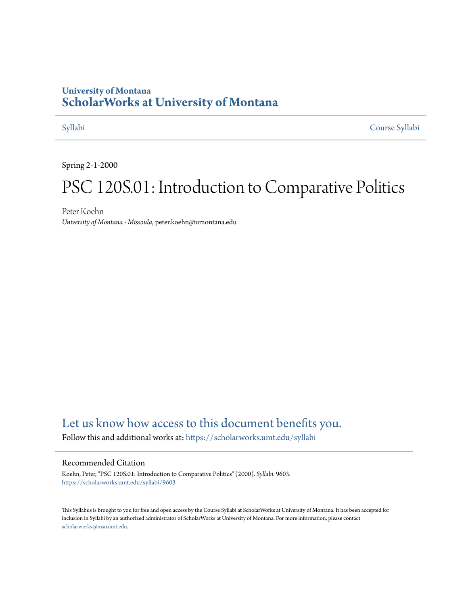## **University of Montana [ScholarWorks at University of Montana](https://scholarworks.umt.edu?utm_source=scholarworks.umt.edu%2Fsyllabi%2F9603&utm_medium=PDF&utm_campaign=PDFCoverPages)**

[Syllabi](https://scholarworks.umt.edu/syllabi?utm_source=scholarworks.umt.edu%2Fsyllabi%2F9603&utm_medium=PDF&utm_campaign=PDFCoverPages) [Course Syllabi](https://scholarworks.umt.edu/course_syllabi?utm_source=scholarworks.umt.edu%2Fsyllabi%2F9603&utm_medium=PDF&utm_campaign=PDFCoverPages)

Spring 2-1-2000

# PSC 120S.01: Introduction to Comparative Politics

Peter Koehn *University of Montana - Missoula*, peter.koehn@umontana.edu

## [Let us know how access to this document benefits you.](https://goo.gl/forms/s2rGfXOLzz71qgsB2)

Follow this and additional works at: [https://scholarworks.umt.edu/syllabi](https://scholarworks.umt.edu/syllabi?utm_source=scholarworks.umt.edu%2Fsyllabi%2F9603&utm_medium=PDF&utm_campaign=PDFCoverPages)

#### Recommended Citation

Koehn, Peter, "PSC 120S.01: Introduction to Comparative Politics" (2000). *Syllabi*. 9603. [https://scholarworks.umt.edu/syllabi/9603](https://scholarworks.umt.edu/syllabi/9603?utm_source=scholarworks.umt.edu%2Fsyllabi%2F9603&utm_medium=PDF&utm_campaign=PDFCoverPages)

This Syllabus is brought to you for free and open access by the Course Syllabi at ScholarWorks at University of Montana. It has been accepted for inclusion in Syllabi by an authorized administrator of ScholarWorks at University of Montana. For more information, please contact [scholarworks@mso.umt.edu](mailto:scholarworks@mso.umt.edu).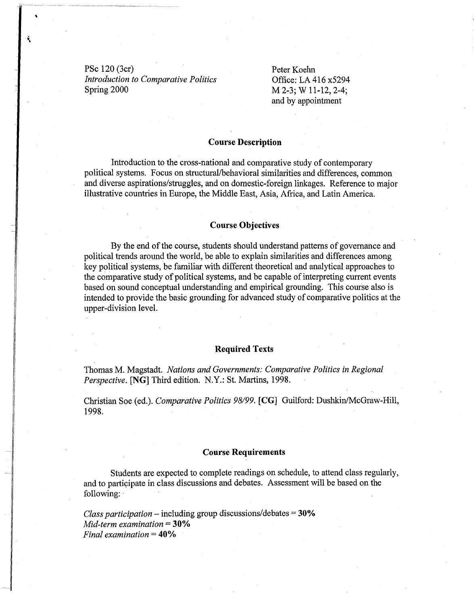PSc 120 (3cr) *Introduction to Comparative Politics*  Spring 2000

Peter Koehn Office: LA 416 x5294 M 2-3; W 11-12, 2-4; and by appointment

#### **Course Description**

Introduction to the cross-national and comparative study of contemporary political systems. Focus on structural/behavioral similarities and differences, common and diverse aspirations/struggles, and on domestic-foreign linkages. Reference to major illustrative countries in Europe, the Middle East, Asia, Africa, and Latin America.

#### **Course Objectives**

By the end of the course, students should understand patterns of governance and political trends around the world, be able to explain similarities and differences among key political systems, be familiar with different theoretical and analytical approaches to the comparative study of political systems, and be capable of interpreting current events based on sound conceptual understanding and empirical grounding. This course also is intended to provide the basic grounding for advanced study of comparative politics at the upper-division level.

#### **Required Texts**

Thomas M. Magstadt. *Nations and Governments: Comparative Politics in Regional Perspective.* **[NG]** Third edition. N.Y.: St. Martins, 1998.

Christian Soe (ed.). *Comparative Politics 98199.* **[CG]** Guilford: Dushkin/McGraw-Hill, 1998.

#### **Course Requirements**

Students are expected to complete readings on schedule, to attend class regularly, and to participate in class discussions and debates. Assessment will be based on the following: ·

*Class participation* - including group discussions/debates =**30%** *Mid-term examination* =**30%** *Final examination* = **40%**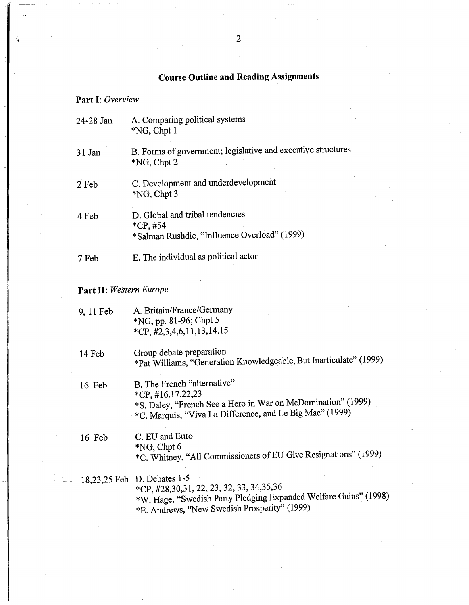## Course Outline and Reading Assignments

## Part I: *Overview*

..

| 24-28 Jan | A. Comparing political systems<br>$*NG$ , Chpt 1                                              |
|-----------|-----------------------------------------------------------------------------------------------|
| 31 Jan    | B. Forms of government; legislative and executive structures<br>$*NG$ , Chpt 2                |
| 2 Feb     | C. Development and underdevelopment<br>$*NG$ , Chpt 3                                         |
| 4 Feb     | D. Global and tribal tendencies<br>$*CP, #54$<br>*Salman Rushdie, "Influence Overload" (1999) |
| 7 Feb     | E. The individual as political actor                                                          |

## Part II: *Western Europe*

| 9, 11 Feb | A. Britain/France/Germany<br>*NG, pp. 81-96; Chpt 5<br>$*CP, \#2, 3, 4, 6, 11, 13, 14.15$                                                                                                   |
|-----------|---------------------------------------------------------------------------------------------------------------------------------------------------------------------------------------------|
| 14 Feb    | Group debate preparation<br>*Pat Williams, "Generation Knowledgeable, But Inarticulate" (1999)                                                                                              |
| 16 Feb    | B. The French "alternative"<br>$*CP, #16,17,22,23$<br>*S. Daley, "French See a Hero in War on McDomination" (1999)<br>*C. Marquis, "Viva La Difference, and Le Big Mac" (1999)              |
| 16 Feb    | C. EU and Euro<br>$NG$ , Chpt 6<br>*C. Whitney, "All Commissioners of EU Give Resignations" (1999)                                                                                          |
|           | 18,23,25 Feb D. Debates 1-5<br>*CP, #28,30,31, 22, 23, 32, 33, 34,35,36<br>*W. Hage, "Swedish Party Pledging Expanded Welfare Gains" (1998)<br>*E. Andrews, "New Swedish Prosperity" (1999) |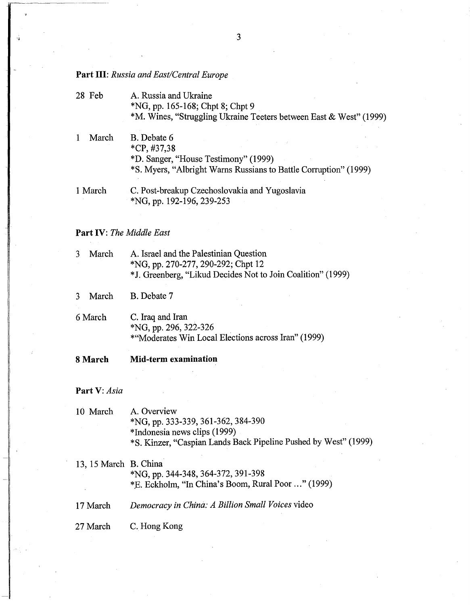### **Part** III: *Russia and East/Central Europe*

- 28 Feb A. Russia and Ukraine \*NG, pp. 165-168; Chpt 8; Chpt 9 \*M. Wines, "Struggling Ukraine Teeters between East & West" (1999)
- 1 March B. Debate 6 \*CP, #37,38 \*D. Sanger, "House Testimony" (1999) \*S. Myers, "Albright Warns Russians to Battle Corruption" (1999) 1 March C. Post-breakup Czechoslovakia and Yugoslavia
- \*NG, pp. 192-196, 239-253

#### **Part** IV: *The Middle East*

3 March A. Israel and the Palestinian Question \*NG, pp. 270-277, 290-292; Chpt 12 \*J. Greenberg, "Likud Decides Not to Join Coalition" ( 1999)

3 March B. Debate 7

- 6 March C. Iraq and Iran \*NG, pp. 296, 322-326 \*"Moderates Win Local Elections across Iran" (1999)
- **8 March Mid-term examination**

**Part** V: *Asia* 

- 10 March A. Overview \*NG, pp. 333-339, 361-362, 384-390 \*Indonesia news clips (1999) \*S. Kinzer, "Caspian Lands Back Pipeline Pushed by West" (1999)
- 13, 15 March B. China \*NG, pp. 344-348, 364-372, 391-398 \*E. Eckholm, "In China's Boom, Rural Poor ..." (1999) 17 March *Democracy in China: A Billion Small Voices* video
- 27 March C. Hong Kong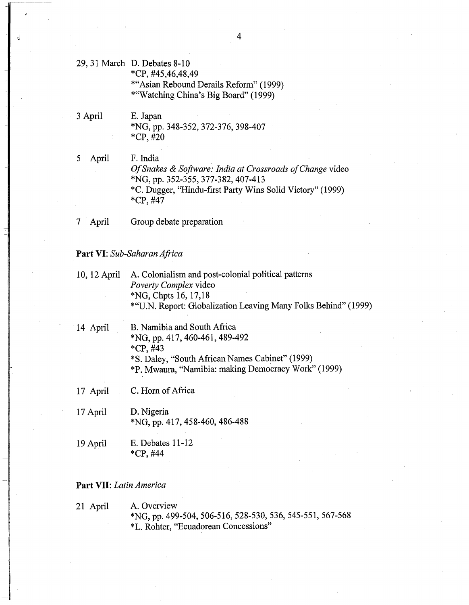29, 31 March D. Debates 8-10 \*CP, #45,46,48,49 \*"Asian Rebound Derails Reform" (1999) \*"Watching China's Big Board" (1999)

3 April E. Japan \*NG, pp. 348-352, 372-376, 398-407 \*CP, #20

5 April F. India *OfSnakes* & *Software: India at Crossroads ofChange* video \*NG, pp. 352-355, 377-382, 407-413 \*C. Dugger, "Hindu-first Party Wins Solid Victory" (1999) \*CP, #47

7 April Group debate preparation

#### **Part** VI: *Sub-Saharan Africa*

| 10, 12 April | A. Colonialism and post-colonial political patterns            |
|--------------|----------------------------------------------------------------|
|              | <i>Poverty Complex video</i>                                   |
|              | $N$ G, Chpts 16, 17,18                                         |
|              | *"U.N. Report: Globalization Leaving Many Folks Behind" (1999) |

- · 14 April B. Namibia and South Africa \*NG, pp. 417, 460-461, 489-492 \*CP, #43 \*S. Daley, "South African Names Cabinet" (1999) \*P. Mwaura, "Namibia: making Democracy Work" (1999)
- 17 April C. Horn of Africa
- 17 April D. Nigeria \*NG, pp. 417, 458-460, 486-488
- 19 April E. Debates 11-12 \*CP, #44

### **Part** VII: *Latin America*

21 April A. Overview \*NG, pp. 499-504, 506-516, 528-530, 536, 545-551, 567-568 \*L. Rohter, "Ecuadorean Concessions"